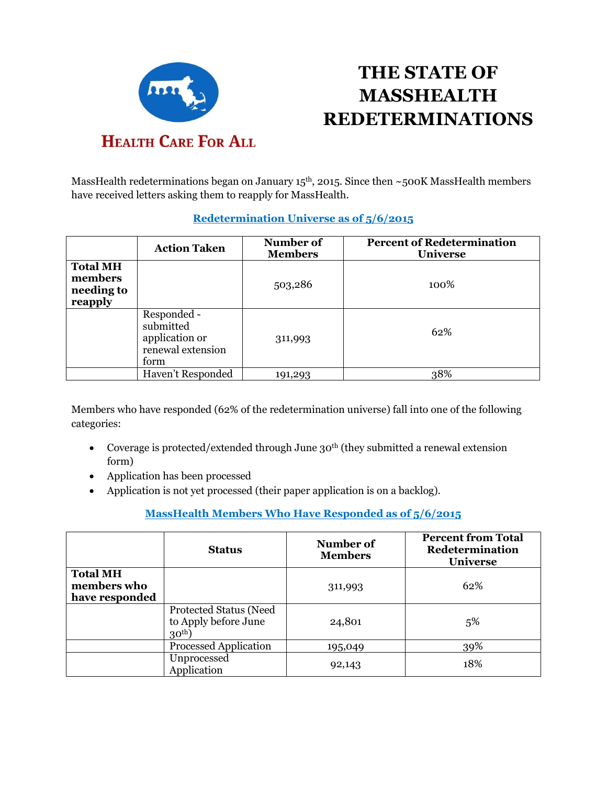

# **THE STATE OF MASSHEALTH REDETERMINATIONS**

MassHealth redeterminations began on January 15<sup>th</sup>, 2015. Since then ~500K MassHealth members have received letters asking them to reapply for MassHealth.

|                                                     | <b>Action Taken</b>                                                     | Number of<br><b>Members</b> | <b>Percent of Redetermination</b><br><b>Universe</b> |
|-----------------------------------------------------|-------------------------------------------------------------------------|-----------------------------|------------------------------------------------------|
| <b>Total MH</b><br>members<br>needing to<br>reapply |                                                                         | 503,286                     | 100%                                                 |
|                                                     | Responded -<br>submitted<br>application or<br>renewal extension<br>form | 311,993                     | 62%                                                  |
|                                                     | Haven't Responded                                                       | 191,293                     | 38%                                                  |

#### **Redetermination Universe as of 5/6/2015**

Members who have responded (62% of the redetermination universe) fall into one of the following categories:

- Coverage is protected/extended through June  $30<sup>th</sup>$  (they submitted a renewal extension form)
- Application has been processed
- Application is not yet processed (their paper application is on a backlog).

## **MassHealth Members Who Have Responded as of 5/6/2015**

|                                                  | <b>Status</b>                                              | Number of<br><b>Members</b> | <b>Percent from Total</b><br>Redetermination<br><b>Universe</b> |
|--------------------------------------------------|------------------------------------------------------------|-----------------------------|-----------------------------------------------------------------|
| <b>Total MH</b><br>members who<br>have responded |                                                            | 311,993                     | 62%                                                             |
|                                                  | Protected Status (Need<br>to Apply before June<br>$30th$ ) | 24,801                      | 5%                                                              |
|                                                  | <b>Processed Application</b>                               | 195,049                     | 39%                                                             |
|                                                  | Unprocessed<br>Application                                 | 92,143                      | 18%                                                             |